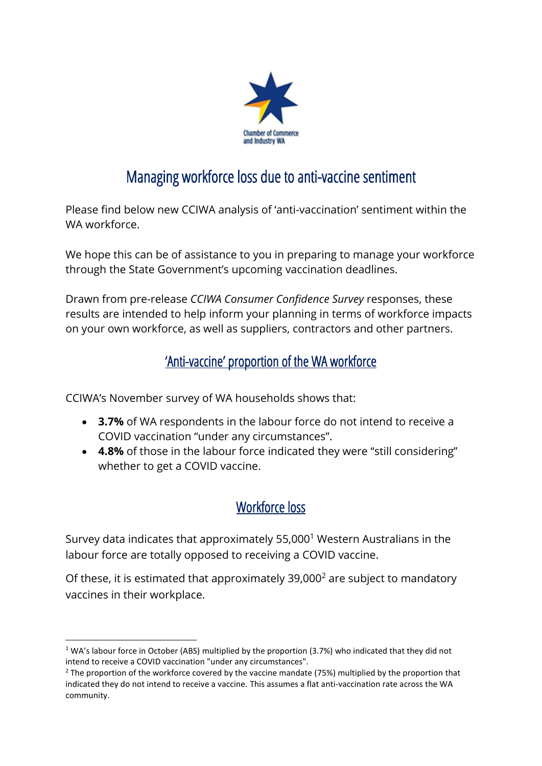

# Managing workforce loss due to anti-vaccine sentiment

Please find below new CCIWA analysis of 'anti-vaccination' sentiment within the WA workforce.

We hope this can be of assistance to you in preparing to manage your workforce through the State Government's upcoming vaccination deadlines.

Drawn from pre-release *CCIWA Consumer Confidence Survey* responses, these results are intended to help inform your planning in terms of workforce impacts on your own workforce, as well as suppliers, contractors and other partners.

### 'Anti-vaccine' proportion of the WA workforce

CCIWA's November survey of WA households shows that:

- **3.7%** of WA respondents in the labour force do not intend to receive a COVID vaccination "under any circumstances".
- **4.8%** of those in the labour force indicated they were "still considering" whether to get a COVID vaccine.

## Workforce loss

Survey data indicates that approximately 55,000<sup>1</sup> Western Australians in the labour force are totally opposed to receiving a COVID vaccine.

Of these, it is estimated that approximately  $39,000^2$  are subject to mandatory vaccines in their workplace.

 $1$  WA's labour force in October (ABS) multiplied by the proportion (3.7%) who indicated that they did not intend to receive a COVID vaccination "under any circumstances"*.*

 $2$  The proportion of the workforce covered by the vaccine mandate (75%) multiplied by the proportion that indicated they do not intend to receive a vaccine. This assumes a flat anti-vaccination rate across the WA community.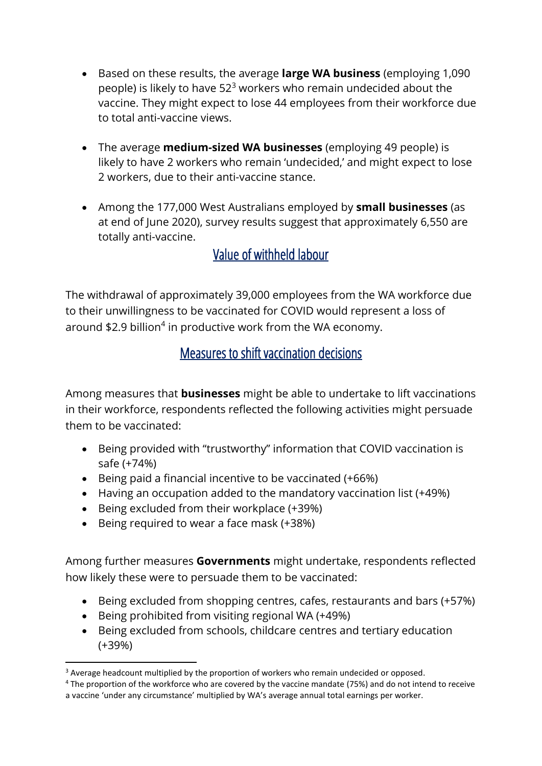- Based on these results, the average **large WA business** (employing 1,090 people) is likely to have  $52<sup>3</sup>$  workers who remain undecided about the vaccine. They might expect to lose 44 employees from their workforce due to total anti-vaccine views.
- The average **medium-sized WA businesses** (employing 49 people) is likely to have 2 workers who remain 'undecided,' and might expect to lose 2 workers, due to their anti-vaccine stance.
- Among the 177,000 West Australians employed by **small businesses** (as at end of June 2020), survey results suggest that approximately 6,550 are totally anti-vaccine.

#### Value of withheld labour

The withdrawal of approximately 39,000 employees from the WA workforce due to their unwillingness to be vaccinated for COVID would represent a loss of around \$2.9 billion<sup>4</sup> in productive work from the WA economy.

#### Measures to shift vaccination decisions

Among measures that **businesses** might be able to undertake to lift vaccinations in their workforce, respondents reflected the following activities might persuade them to be vaccinated:

- Being provided with "trustworthy" information that COVID vaccination is safe (+74%)
- Being paid a financial incentive to be vaccinated (+66%)
- Having an occupation added to the mandatory vaccination list (+49%)
- Being excluded from their workplace (+39%)
- Being required to wear a face mask (+38%)

Among further measures **Governments** might undertake, respondents reflected how likely these were to persuade them to be vaccinated:

- Being excluded from shopping centres, cafes, restaurants and bars (+57%)
- Being prohibited from visiting regional WA (+49%)
- Being excluded from schools, childcare centres and tertiary education (+39%)

<sup>&</sup>lt;sup>3</sup> Average headcount multiplied by the proportion of workers who remain undecided or opposed.

<sup>4</sup> The proportion of the workforce who are covered by the vaccine mandate (75%) and do not intend to receive a vaccine 'under any circumstance' multiplied by WA's average annual total earnings per worker.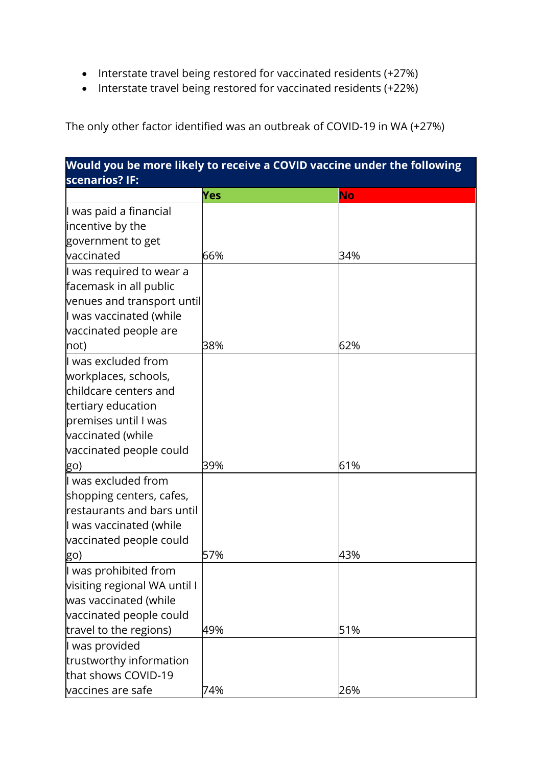- Interstate travel being restored for vaccinated residents (+27%)
- Interstate travel being restored for vaccinated residents (+22%)

The only other factor identified was an outbreak of COVID-19 in WA (+27%)

| Would you be more likely to receive a COVID vaccine under the following |     |     |  |
|-------------------------------------------------------------------------|-----|-----|--|
| scenarios? IF:                                                          |     |     |  |
|                                                                         | Yes | No  |  |
| I was paid a financial<br>incentive by the                              |     |     |  |
| government to get                                                       |     |     |  |
| vaccinated                                                              | 66% | 34% |  |
|                                                                         |     |     |  |
| l was required to wear a<br>facemask in all public                      |     |     |  |
| venues and transport until                                              |     |     |  |
| I was vaccinated (while                                                 |     |     |  |
| vaccinated people are                                                   |     |     |  |
| not)                                                                    | 38% | 62% |  |
| I was excluded from                                                     |     |     |  |
| workplaces, schools,                                                    |     |     |  |
| childcare centers and                                                   |     |     |  |
| tertiary education                                                      |     |     |  |
| premises until I was                                                    |     |     |  |
| vaccinated (while                                                       |     |     |  |
| vaccinated people could                                                 |     |     |  |
| go)                                                                     | 39% | 61% |  |
| ll was excluded from                                                    |     |     |  |
| shopping centers, cafes,                                                |     |     |  |
| restaurants and bars until                                              |     |     |  |
| I was vaccinated (while                                                 |     |     |  |
| vaccinated people could                                                 |     |     |  |
| <u>go)</u>                                                              | 57% | 43% |  |
| I was prohibited from                                                   |     |     |  |
| visiting regional WA until I                                            |     |     |  |
| was vaccinated (while                                                   |     |     |  |
| vaccinated people could                                                 |     |     |  |
| travel to the regions)                                                  | 49% | 51% |  |
| I was provided                                                          |     |     |  |
| trustworthy information                                                 |     |     |  |
| that shows COVID-19                                                     |     |     |  |
| vaccines are safe                                                       | 74% | 26% |  |